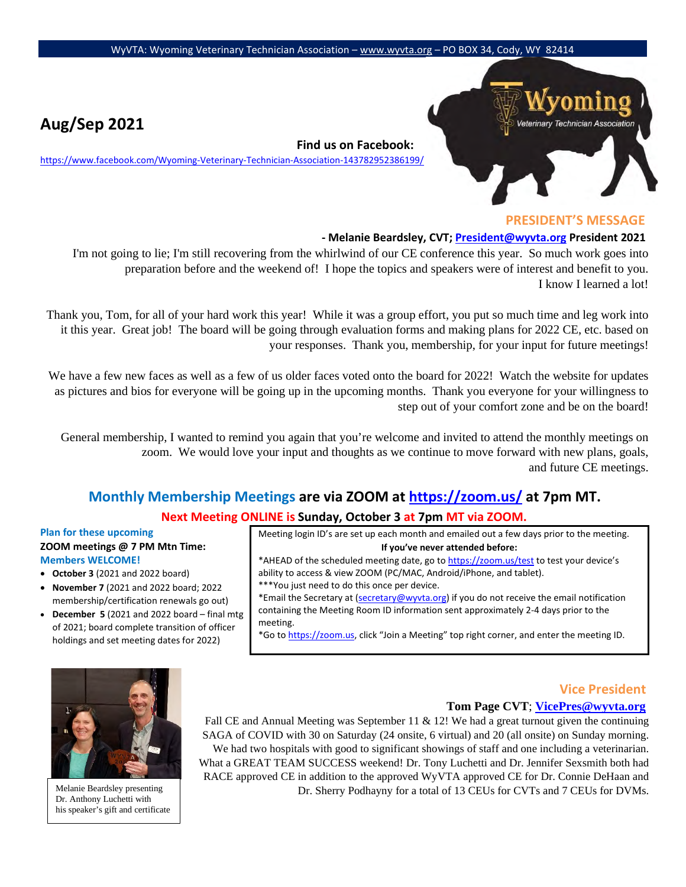# eterinary Technician Association

# **PRESIDENT'S MESSAGE**

#### **- Melanie Beardsley, CVT; President@wyvta.org President 2021**

I'm not going to lie; I'm still recovering from the whirlwind of our CE conference this year. So much work goes into preparation before and the weekend of! I hope the topics and speakers were of interest and benefit to you. I know I learned a lot!

**Find us on Facebook:** 

<https://www.facebook.com/Wyoming-Veterinary-Technician-Association-143782952386199/>

Thank you, Tom, for all of your hard work this year! While it was a group effort, you put so much time and leg work into it this year. Great job! The board will be going through evaluation forms and making plans for 2022 CE, etc. based on your responses. Thank you, membership, for your input for future meetings!

We have a few new faces as well as a few of us older faces voted onto the board for 2022! Watch the website for updates as pictures and bios for everyone will be going up in the upcoming months. Thank you everyone for your willingness to step out of your comfort zone and be on the board!

General membership, I wanted to remind you again that you're welcome and invited to attend the monthly meetings on zoom. We would love your input and thoughts as we continue to move forward with new plans, goals, and future CE meetings.

# **Monthly Membership Meetings are via ZOOM [at https://zoom.us/](https://zoom.us/) [a](https://zoom.us/)t 7pm MT.**

# **Next Meeting ONLINE is Sunday, October 3 at 7pm MT via ZOOM.**

### **Plan for these upcoming ZOOM meetings @ 7 PM Mtn Time: Members WELCOME!**

• **October 3** (2021 and 2022 board)

**Aug/Sep 2021**

- **November 7** (2021 and 2022 board; 2022 membership/certification renewals go out)
- **December 5** (2021 and 2022 board final mtg of 2021; board complete transition of officer holdings and set meeting dates for 2022)

Meeting login ID's are set up each month and emailed out a few days prior to the meeting. **If you've never attended before:**

\*AHEAD of the scheduled meeting date, go [to https://zoom.us/test](https://zoom.us/test) [to](https://zoom.us/test) test your device's ability to access & view ZOOM (PC/MAC, Android/iPhone, and tablet).

\*\*\*You just need to do this once per device.

\*Email the Secretary at (secretary@wyvta.org) if you do not receive the email notification containing the Meeting Room ID information sent approximately 2-4 days prior to the meeting.

\*Go [to https://zoom.us,](https://zoom.us/) click "Join a Meeting" top right corner, and enter the meeting ID.



Melanie Beardsley presenting Dr. Anthony Luchetti with his speaker's gift and certificate

# **Vice President**

# **Tom Page CVT**; **VicePres@wyvta.org**

Fall CE and Annual Meeting was September 11  $\&$  12! We had a great turnout given the continuing SAGA of COVID with 30 on Saturday (24 onsite, 6 virtual) and 20 (all onsite) on Sunday morning. We had two hospitals with good to significant showings of staff and one including a veterinarian. What a GREAT TEAM SUCCESS weekend! Dr. Tony Luchetti and Dr. Jennifer Sexsmith both had RACE approved CE in addition to the approved WyVTA approved CE for Dr. Connie DeHaan and Dr. Sherry Podhayny for a total of 13 CEUs for CVTs and 7 CEUs for DVMs.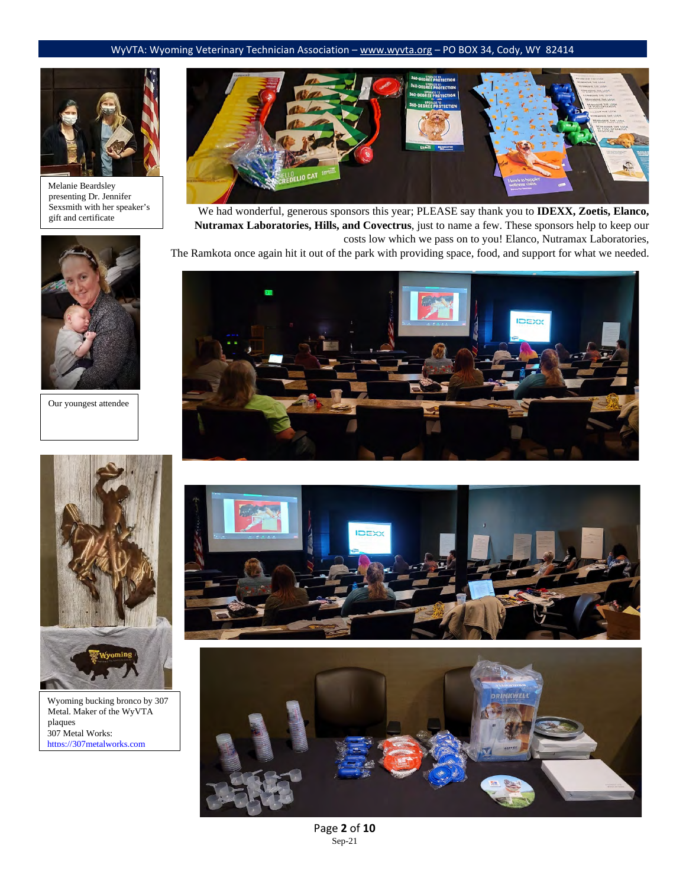

Melanie Beardsley presenting Dr. Jennifer Sexsmith with her speaker's gift and certificate



Our youngest attendee



We had wonderful, generous sponsors this year; PLEASE say thank you to **IDEXX, Zoetis, Elanco, Nutramax Laboratories, Hills, and Covectrus**, just to name a few. These sponsors help to keep our costs low which we pass on to you! Elanco, Nutramax Laboratories,

The Ramkota once again hit it out of the park with providing space, food, and support for what we needed.







Page **2** of **10** Sep-21



Metal. Maker of the WyVTA plaques 307 Metal Works: [https://307metalworks.com](https://307metalworks.com/)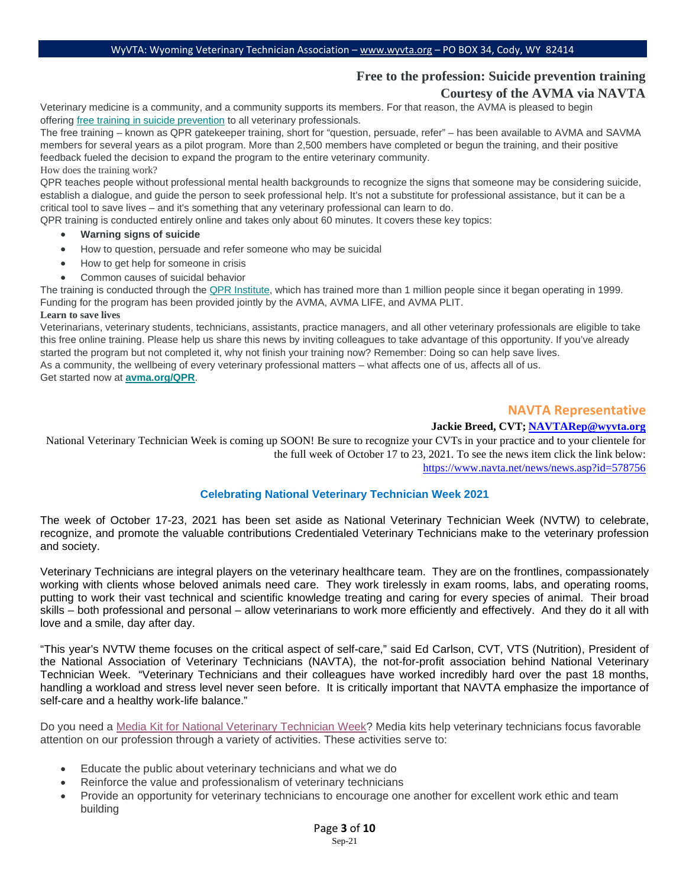# **Free to the profession: Suicide prevention training**

# **Courtesy of the AVMA via NAVTA**

Veterinary medicine is a community, and a community supports its members. For that reason, the AVMA is pleased to begin offering [free training in suicide prevention](https://na01.safelinks.protection.outlook.com/?url=https%3A%2F%2Fwww.avma.org%2Fresources-tools%2Fwellbeing%2Fqpr-suicide-prevention-training&data=04%7C01%7C%7C5bb0813716d04f78c23208d90e71c436%7C84df9e7fe9f640afb435aaaaaaaaaaaa%7C1%7C0%7C637556704060244448%7CUnknown%7CTWFpbGZsb3d8eyJWIjoiMC4wLjAwMDAiLCJQIjoiV2luMzIiLCJBTiI6Ik1haWwiLCJXVCI6Mn0%3D%7C1000&sdata=BZ5mcysPuMn0glV%2FmJt8xD5N%2Bj0nAA8YG64UgRJI7G8%3D&reserved=0) to all veterinary professionals.

The free training – known as QPR gatekeeper training, short for "question, persuade, refer" – has been available to AVMA and SAVMA members for several years as a pilot program. More than 2,500 members have completed or begun the training, and their positive feedback fueled the decision to expand the program to the entire veterinary community. How does the training work?

QPR teaches people without professional mental health backgrounds to recognize the signs that someone may be considering suicide, establish a dialogue, and guide the person to seek professional help. It's not a substitute for professional assistance, but it can be a critical tool to save lives – and it's something that any veterinary professional can learn to do.

QPR training is conducted entirely online and takes only about 60 minutes. It covers these key topics:

- **Warning signs of suicide**
- How to question, persuade and refer someone who may be suicidal
- How to get help for someone in crisis
- Common causes of suicidal behavior

The training is conducted through the [QPR Institute,](https://na01.safelinks.protection.outlook.com/?url=https%3A%2F%2Fqprinstitute.com%2F&data=04%7C01%7C%7C5bb0813716d04f78c23208d90e71c436%7C84df9e7fe9f640afb435aaaaaaaaaaaa%7C1%7C0%7C637556704060254447%7CUnknown%7CTWFpbGZsb3d8eyJWIjoiMC4wLjAwMDAiLCJQIjoiV2luMzIiLCJBTiI6Ik1haWwiLCJXVCI6Mn0%3D%7C1000&sdata=faxL3mMqxTZO1ydGrHHXX5oqJiU9Neoi0UJF6o4gOp8%3D&reserved=0) which has trained more than 1 million people since it began operating in 1999. Funding for the program has been provided jointly by the AVMA, AVMA LIFE, and AVMA PLIT.

#### **Learn to save lives**

Veterinarians, veterinary students, technicians, assistants, practice managers, and all other veterinary professionals are eligible to take this free online training. Please help us share this news by inviting colleagues to take advantage of this opportunity. If you've already started the program but not completed it, why not finish your training now? Remember: Doing so can help save lives. As a community, the wellbeing of every veterinary professional matters – what affects one of us, affects all of us.

Get started now at **[avma.org/QPR](https://na01.safelinks.protection.outlook.com/?url=https%3A%2F%2Fwww.avma.org%2Fresources-tools%2Fwellbeing%2Fqpr-suicide-prevention-training&data=04%7C01%7C%7C5bb0813716d04f78c23208d90e71c436%7C84df9e7fe9f640afb435aaaaaaaaaaaa%7C1%7C0%7C637556704060254447%7CUnknown%7CTWFpbGZsb3d8eyJWIjoiMC4wLjAwMDAiLCJQIjoiV2luMzIiLCJBTiI6Ik1haWwiLCJXVCI6Mn0%3D%7C1000&sdata=ElFWofN4sLY3zkS1QlJnvGiOpJEVWkC20qdtIcUi7Ro%3D&reserved=0)**.

# **NAVTA Representative**

#### **Jackie Breed, CVT; [NAVTARep@wyvta.org](mailto:NAVTARep@wyvta.org)**

National Veterinary Technician Week is coming up SOON! Be sure to recognize your CVTs in your practice and to your clientele for the full week of October 17 to 23, 2021. To see the news item click the link below: <https://www.navta.net/news/news.asp?id=578756>

# **Celebrating National Veterinary Technician Week 2021**

The week of October 17-23, 2021 has been set aside as National Veterinary Technician Week (NVTW) to celebrate, recognize, and promote the valuable contributions Credentialed Veterinary Technicians make to the veterinary profession and society.

Veterinary Technicians are integral players on the veterinary healthcare team. They are on the frontlines, compassionately working with clients whose beloved animals need care. They work tirelessly in exam rooms, labs, and operating rooms, putting to work their vast technical and scientific knowledge treating and caring for every species of animal. Their broad skills – both professional and personal – allow veterinarians to work more efficiently and effectively. And they do it all with love and a smile, day after day.

"This year's NVTW theme focuses on the critical aspect of self-care," said Ed Carlson, CVT, VTS (Nutrition), President of the National Association of Veterinary Technicians (NAVTA), the not-for-profit association behind National Veterinary Technician Week. "Veterinary Technicians and their colleagues have worked incredibly hard over the past 18 months, handling a workload and stress level never seen before. It is critically important that NAVTA emphasize the importance of self-care and a healthy work-life balance."

Do you need a [Media Kit for National Veterinary Technician Week?](https://na01.safelinks.protection.outlook.com/?url=https%3A%2F%2Fwww.navta.net%2Fresource%2Fresmgr%2Fmedia%2FVet_Week_Toolkit_generic_fin.pdf&data=04%7C01%7C%7Cd719587960eb46a53e1208d978992a0c%7C84df9e7fe9f640afb435aaaaaaaaaaaa%7C1%7C0%7C637673421493636244%7CUnknown%7CTWFpbGZsb3d8eyJWIjoiMC4wLjAwMDAiLCJQIjoiV2luMzIiLCJBTiI6Ik1haWwiLCJXVCI6Mn0%3D%7C1000&sdata=bRRJciFUOE19b1tr6n3I5P9%2BUgGPiYNcYl6UqmUbaqM%3D&reserved=0) Media kits help veterinary technicians focus favorable attention on our profession through a variety of activities. These activities serve to:

- Educate the public about veterinary technicians and what we do
- Reinforce the value and professionalism of veterinary technicians
- Provide an opportunity for veterinary technicians to encourage one another for excellent work ethic and team building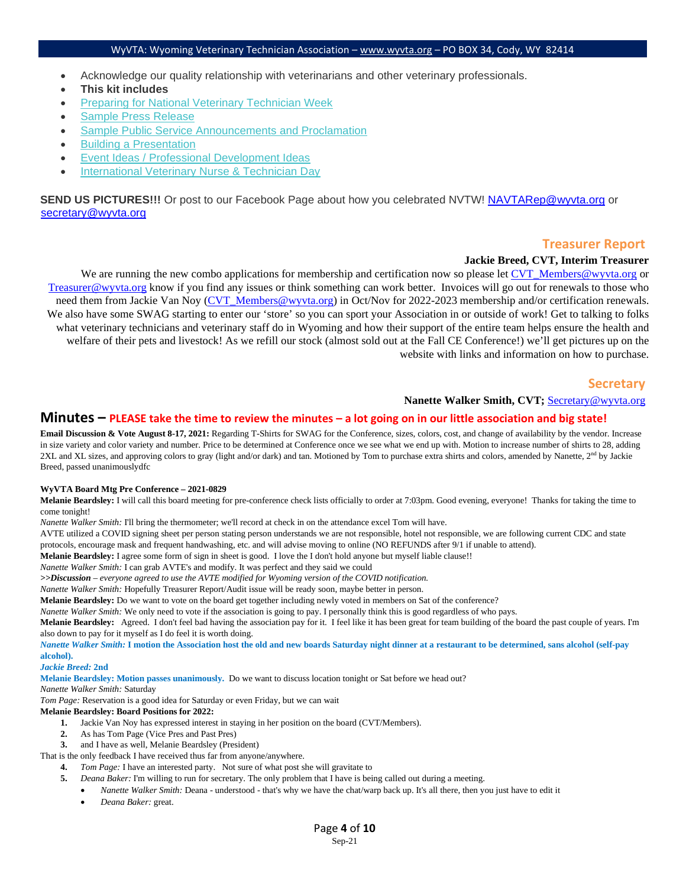- Acknowledge our quality relationship with veterinarians and other veterinary professionals.
- **This kit includes**
- [Preparing for National Veterinary Technician Week](https://na01.safelinks.protection.outlook.com/?url=https%3A%2F%2Fwww.navta.net%2Fresource%2Fresmgr%2Fmedia%2FVet_Week_Toolkit_Getting-Sta.pdf&data=04%7C01%7C%7Cd719587960eb46a53e1208d978992a0c%7C84df9e7fe9f640afb435aaaaaaaaaaaa%7C1%7C0%7C637673421493656232%7CUnknown%7CTWFpbGZsb3d8eyJWIjoiMC4wLjAwMDAiLCJQIjoiV2luMzIiLCJBTiI6Ik1haWwiLCJXVCI6Mn0%3D%7C1000&sdata=99G9G3Tw%2FJC4ZRlvNClnP0k0Qp%2FMtn4v82WH%2FA%2BpBXw%3D&reserved=0)
- [Sample Press Release](https://na01.safelinks.protection.outlook.com/?url=https%3A%2F%2Fwww.navta.net%2Fresource%2Fresmgr%2Fmedia%2FVet_Week_Toolkit_Sample-PR.pdf&data=04%7C01%7C%7Cd719587960eb46a53e1208d978992a0c%7C84df9e7fe9f640afb435aaaaaaaaaaaa%7C1%7C0%7C637673421493656232%7CUnknown%7CTWFpbGZsb3d8eyJWIjoiMC4wLjAwMDAiLCJQIjoiV2luMzIiLCJBTiI6Ik1haWwiLCJXVCI6Mn0%3D%7C1000&sdata=IT728OLWsI2nWDZ%2FaTk6e9AGztiOFYGwATBEImNWDpo%3D&reserved=0)
- [Sample Public Service Announcements and Proclamation](https://na01.safelinks.protection.outlook.com/?url=https%3A%2F%2Fwww.navta.net%2Fresource%2Fresmgr%2Fmedia%2FVet_Week_Toolkit_Sample-Scri.pdf&data=04%7C01%7C%7Cd719587960eb46a53e1208d978992a0c%7C84df9e7fe9f640afb435aaaaaaaaaaaa%7C1%7C0%7C637673421493666224%7CUnknown%7CTWFpbGZsb3d8eyJWIjoiMC4wLjAwMDAiLCJQIjoiV2luMzIiLCJBTiI6Ik1haWwiLCJXVCI6Mn0%3D%7C1000&sdata=R4%2F%2FidDPeBp48HG8Qy0nwL3bDXJM27sOmpeC7ef0qjI%3D&reserved=0)
- [Building a Presentation](https://na01.safelinks.protection.outlook.com/?url=https%3A%2F%2Fwww.navta.net%2Fresource%2Fresmgr%2Fmedia%2FVet_Week_Toolkit_Building-a-.pdf&data=04%7C01%7C%7Cd719587960eb46a53e1208d978992a0c%7C84df9e7fe9f640afb435aaaaaaaaaaaa%7C1%7C0%7C637673421493676221%7CUnknown%7CTWFpbGZsb3d8eyJWIjoiMC4wLjAwMDAiLCJQIjoiV2luMzIiLCJBTiI6Ik1haWwiLCJXVCI6Mn0%3D%7C1000&sdata=wjnsxf3MP1vOkWei33B500Ff%2Fx%2F3jKMCxmEUrwxAZy0%3D&reserved=0)
- [Event Ideas / Professional Development Ideas](https://na01.safelinks.protection.outlook.com/?url=https%3A%2F%2Fwww.navta.net%2Fresource%2Fresmgr%2Fmedia%2FVet_Week_Toolkit_Event-Ideas.pdf&data=04%7C01%7C%7Cd719587960eb46a53e1208d978992a0c%7C84df9e7fe9f640afb435aaaaaaaaaaaa%7C1%7C0%7C637673421493676221%7CUnknown%7CTWFpbGZsb3d8eyJWIjoiMC4wLjAwMDAiLCJQIjoiV2luMzIiLCJBTiI6Ik1haWwiLCJXVCI6Mn0%3D%7C1000&sdata=FzJ5nGXmgjYulW1dQNRHpsvrS%2FtgcnW6IBIdbdKoiAY%3D&reserved=0)
- [International Veterinary Nurse & Technician Day](https://na01.safelinks.protection.outlook.com/?url=https%3A%2F%2Fwww.navta.net%2Fresource%2Fresmgr%2Fmedia%2FVet_Week_Toolkit_IVNT-Day.pdf&data=04%7C01%7C%7Cd719587960eb46a53e1208d978992a0c%7C84df9e7fe9f640afb435aaaaaaaaaaaa%7C1%7C0%7C637673421493686214%7CUnknown%7CTWFpbGZsb3d8eyJWIjoiMC4wLjAwMDAiLCJQIjoiV2luMzIiLCJBTiI6Ik1haWwiLCJXVCI6Mn0%3D%7C1000&sdata=nZvB1pn5x2deyZiy3fTHV8dNtAiASDMj1zybf7PbsAM%3D&reserved=0)

**SEND US PICTURES!!!** Or post to our Facebook Page about how you celebrated NVTW! [NAVTARep@wyvta.org](mailto:NAVTARep@wyvta.org) or [secretary@wyvta.org](mailto:secretary@wyvta.org) 

#### **Treasurer Report**

#### **Jackie Breed, CVT, Interim Treasurer**

We are running the new combo applications for membership and certification now so please let [CVT\\_Members@wyvta.org](mailto:CVT_Members@wyvta.org) or [Treasurer@wyvta.org](mailto:Treasurer@wyvta.org) know if you find any issues or think something can work better. Invoices will go out for renewals to those who need them from Jackie Van Noy [\(CVT\\_Members@wyvta.org\)](mailto:CVT_Members@wyvta.org) in Oct/Nov for 2022-2023 membership and/or certification renewals. We also have some SWAG starting to enter our 'store' so you can sport your Association in or outside of work! Get to talking to folks what veterinary technicians and veterinary staff do in Wyoming and how their support of the entire team helps ensure the health and welfare of their pets and livestock! As we refill our stock (almost sold out at the Fall CE Conference!) we'll get pictures up on the website with links and information on how to purchase.

#### **Secretary**

#### **Nanette Walker Smith, CVT;** Secretary@wyvta.org

#### **Minutes – PLEASE take the time to review the minutes – a lot going on in our little association and big state!**

**Email Discussion & Vote August 8-17, 2021:** Regarding T-Shirts for SWAG for the Conference, sizes, colors, cost, and change of availability by the vendor. Increase in size variety and color variety and number. Price to be determined at Conference once we see what we end up with. Motion to increase number of shirts to 28, adding 2XL and XL sizes, and approving colors to gray (light and/or dark) and tan. Motioned by Tom to purchase extra shirts and colors, amended by Nanette, 2<sup>nd</sup> by Jackie Breed, passed unanimouslydfc

#### **WyVTA Board Mtg Pre Conference – 2021-0829**

**Melanie Beardsley:** I will call this board meeting for pre-conference check lists officially to order at 7:03pm. Good evening, everyone! Thanks for taking the time to come tonight!

*Nanette Walker Smith:* I'll bring the thermometer; we'll record at check in on the attendance excel Tom will have.

AVTE utilized a COVID signing sheet per person stating person understands we are not responsible, hotel not responsible, we are following current CDC and state protocols, encourage mask and frequent handwashing, etc. and will advise moving to online (NO REFUNDS after 9/1 if unable to attend).

**Melanie Beardsley:** I agree some form of sign in sheet is good. I love the I don't hold anyone but myself liable clause!!

*Nanette Walker Smith:* I can grab AVTE's and modify. It was perfect and they said we could

*>>Discussion – everyone agreed to use the AVTE modified for Wyoming version of the COVID notification.*

*Nanette Walker Smith:* Hopefully Treasurer Report/Audit issue will be ready soon, maybe better in person.

**Melanie Beardsley:** Do we want to vote on the board get together including newly voted in members on Sat of the conference?

*Nanette Walker Smith:* We only need to vote if the association is going to pay. I personally think this is good regardless of who pays.

**Melanie Beardsley:** Agreed. I don't feel bad having the association pay for it. I feel like it has been great for team building of the board the past couple of years. I'm also down to pay for it myself as I do feel it is worth doing.

*Nanette Walker Smith:* **I motion the Association host the old and new boards Saturday night dinner at a restaurant to be determined, sans alcohol (self-pay alcohol).**

#### *Jackie Breed:* **2nd**

**Melanie Beardsley: Motion passes unanimously.** Do we want to discuss location tonight or Sat before we head out?

*Nanette Walker Smith:* Saturday

#### *Tom Page:* Reservation is a good idea for Saturday or even Friday, but we can wait

#### **Melanie Beardsley: Board Positions for 2022:**

- **1.** Jackie Van Noy has expressed interest in staying in her position on the board (CVT/Members).
- **2.** As has Tom Page (Vice Pres and Past Pres)
- **3.** and I have as well, Melanie Beardsley (President)

That is the only feedback I have received thus far from anyone/anywhere.

- **4.** *Tom Page:* I have an interested party. Not sure of what post she will gravitate to
- **5.** *Deana Baker:* I'm willing to run for secretary. The only problem that I have is being called out during a meeting.
	- *Nanette Walker Smith:* Deana understood that's why we have the chat/warp back up. It's all there, then you just have to edit it
	- *Deana Baker:* great.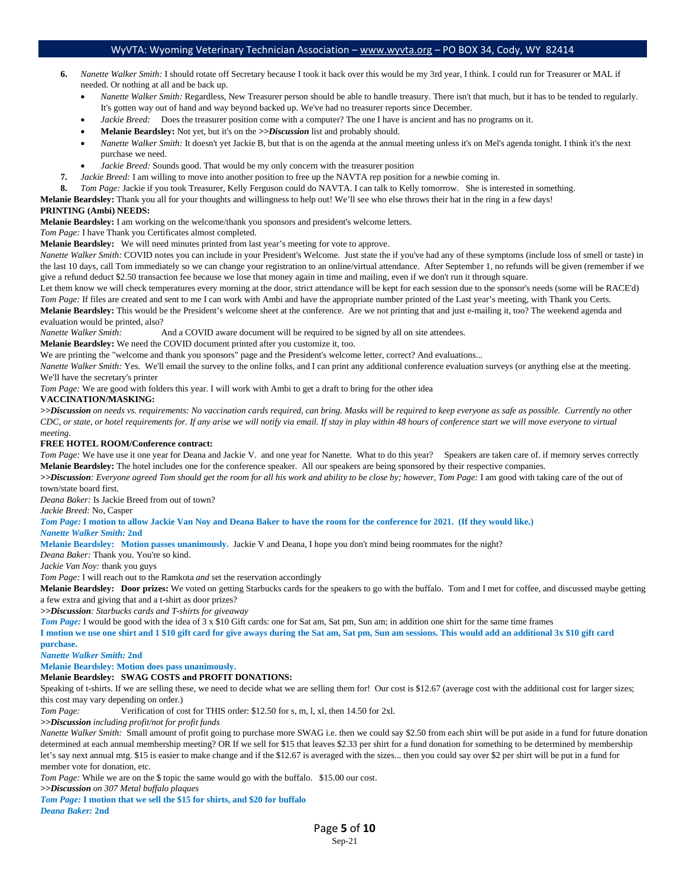- **6.** *Nanette Walker Smith:* I should rotate off Secretary because I took it back over this would be my 3rd year, I think. I could run for Treasurer or MAL if needed. Or nothing at all and be back up.
	- *Nanette Walker Smith:* Regardless, New Treasurer person should be able to handle treasury. There isn't that much, but it has to be tended to regularly. It's gotten way out of hand and way beyond backed up. We've had no treasurer reports since December.
	- *Jackie Breed:* Does the treasurer position come with a computer? The one I have is ancient and has no programs on it.
	- **Melanie Beardsley:** Not yet, but it's on the *>>Discussion* list and probably should.
	- *Nanette Walker Smith:* It doesn't yet Jackie B, but that is on the agenda at the annual meeting unless it's on Mel's agenda tonight. I think it's the next purchase we need.
	- *Jackie Breed:* Sounds good. That would be my only concern with the treasurer position
- **7.** *Jackie Breed:* I am willing to move into another position to free up the NAVTA rep position for a newbie coming in.
- **8.** *Tom Page:* Jackie if you took Treasurer, Kelly Ferguson could do NAVTA. I can talk to Kelly tomorrow. She is interested in something.

**Melanie Beardsley:** Thank you all for your thoughts and willingness to help out! We'll see who else throws their hat in the ring in a few days!

#### **PRINTING (Ambi) NEEDS:**

**Melanie Beardsley:** I am working on the welcome/thank you sponsors and president's welcome letters.

*Tom Page:* I have Thank you Certificates almost completed.

**Melanie Beardsley:** We will need minutes printed from last year's meeting for vote to approve.

*Nanette Walker Smith:* COVID notes you can include in your President's Welcome. Just state the if you've had any of these symptoms (include loss of smell or taste) in the last 10 days, call Tom immediately so we can change your registration to an online/virtual attendance. After September 1, no refunds will be given (remember if we give a refund deduct \$2.50 transaction fee because we lose that money again in time and mailing, even if we don't run it through square.

Let them know we will check temperatures every morning at the door, strict attendance will be kept for each session due to the sponsor's needs (some will be RACE'd) *Tom Page:* If files are created and sent to me I can work with Ambi and have the appropriate number printed of the Last year's meeting, with Thank you Certs.

**Melanie Beardsley:** This would be the President's welcome sheet at the conference. Are we not printing that and just e-mailing it, too? The weekend agenda and evaluation would be printed, also?

*Nanette Walker Smith:* And a COVID aware document will be required to be signed by all on site attendees.

**Melanie Beardsley:** We need the COVID document printed after you customize it, too.

We are printing the "welcome and thank you sponsors" page and the President's welcome letter, correct? And evaluations...

*Nanette Walker Smith: Yes.* We'll email the survey to the online folks, and I can print any additional conference evaluation surveys (or anything else at the meeting. We'll have the secretary's printer

*Tom Page:* We are good with folders this year. I will work with Ambi to get a draft to bring for the other idea

#### **VACCINATION/MASKING:**

*>>Discussion on needs vs. requirements: No vaccination cards required, can bring. Masks will be required to keep everyone as safe as possible. Currently no other CDC, or state, or hotel requirements for. If any arise we will notify via email. If stay in play within 48 hours of conference start we will move everyone to virtual meeting.*

#### **FREE HOTEL ROOM/Conference contract:**

*Tom Page:* We have use it one year for Deana and Jackie V. and one year for Nanette. What to do this year? Speakers are taken care of. if memory serves correctly **Melanie Beardsley:** The hotel includes one for the conference speaker. All our speakers are being sponsored by their respective companies.

*>>Discussion: Everyone agreed Tom should get the room for all his work and ability to be close by; however, Tom Page:* I am good with taking care of the out of town/state board first.

*Deana Baker:* Is Jackie Breed from out of town?

#### *Jackie Breed:* No, Casper

*Tom Page:* **I motion to allow Jackie Van Noy and Deana Baker to have the room for the conference for 2021. (If they would like.)** *Nanette Walker Smith:* **2nd**

**Melanie Beardsley: Motion passes unanimously.** Jackie V and Deana, I hope you don't mind being roommates for the night?

*Deana Baker:* Thank you. You're so kind.

*Jackie Van Noy:* thank you guys

*Tom Page: I will reach out to the Ramkota <i>and* set the reservation accordingly

**Melanie Beardsley: Door prizes:** We voted on getting Starbucks cards for the speakers to go with the buffalo. Tom and I met for coffee, and discussed maybe getting a few extra and giving that and a t-shirt as door prizes?

*>>Discussion: Starbucks cards and T-shirts for giveaway*

*Tom Page:* I would be good with the idea of 3 x \$10 Gift cards: one for Sat am, Sat pm, Sun am; in addition one shirt for the same time frames

**I motion we use one shirt and 1 \$10 gift card for give aways during the Sat am, Sat pm, Sun am sessions. This would add an additional 3x \$10 gift card purchase.**

#### *Nanette Walker Smith:* **2nd**

**Melanie Beardsley: Motion does pass unanimously.**

#### **Melanie Beardsley: SWAG COSTS and PROFIT DONATIONS:**

Speaking of t-shirts. If we are selling these, we need to decide what we are selling them for! Our cost is \$12.67 (average cost with the additional cost for larger sizes; this cost may vary depending on order.)

*Tom Page:* Verification of cost for THIS order: \$12.50 for s, m, l, xl, then 14.50 for 2xl.

*>>Discussion including profit/not for profit funds*

*Nanette Walker Smith:* Small amount of profit going to purchase more SWAG i.e. then we could say \$2.50 from each shirt will be put aside in a fund for future donation determined at each annual membership meeting? OR If we sell for \$15 that leaves \$2.33 per shirt for a fund donation for something to be determined by membership let's say next annual mtg. \$15 is easier to make change and if the \$12.67 is averaged with the sizes... then you could say over \$2 per shirt will be put in a fund for member vote for donation, etc.

*Tom Page:* While we are on the \$ topic the same would go with the buffalo. \$15.00 our cost.

*>>Discussion on 307 Metal buffalo plaques* 

*Tom Page:* **I motion that we sell the \$15 for shirts, and \$20 for buffalo** *Deana Baker:* **2nd**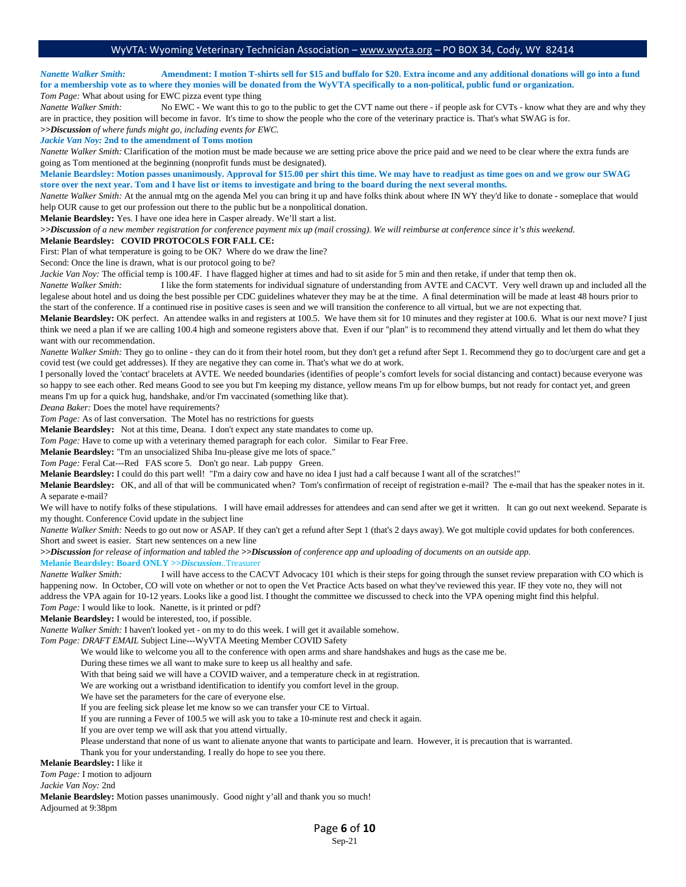*Nanette Walker Smith:* **Amendment: I motion T-shirts sell for \$15 and buffalo for \$20. Extra income and any additional donations will go into a fund for a membership vote as to where they monies will be donated from the WyVTA specifically to a non-political, public fund or organization.** *Tom Page:* What about using for EWC pizza event type thing

*Nanette Walker Smith:* No EWC - We want this to go to the public to get the CVT name out there - if people ask for CVTs - know what they are and why they are in practice, they position will become in favor.It's time to show the people who the core of the veterinary practice is. That's what SWAG is for.

*>>Discussion of where funds might go, including events for EWC.*

*Jackie Van Noy:* **2nd to the amendment of Toms motion**

*Nanette Walker Smith:* Clarification of the motion must be made because we are setting price above the price paid and we need to be clear where the extra funds are going as Tom mentioned at the beginning (nonprofit funds must be designated).

**Melanie Beardsley: Motion passes unanimously. Approval for \$15.00 per shirt this time. We may have to readjust as time goes on and we grow our SWAG store over the next year. Tom and I have list or items to investigate and bring to the board during the next several months.**

*Nanette Walker Smith:* At the annual mtg on the agenda Mel you can bring it up and have folks think about where IN WY they'd like to donate - someplace that would help OUR cause to get our profession out there to the public but be a nonpolitical donation.

**Melanie Beardsley:** Yes. I have one idea here in Casper already. We'll start a list.

*>>Discussion of a new member registration for conference payment mix up (mail crossing). We will reimburse at conference since it's this weekend.* **Melanie Beardsley: COVID PROTOCOLS FOR FALL CE:** 

First: Plan of what temperature is going to be OK? Where do we draw the line?

Second: Once the line is drawn, what is our protocol going to be?

*Jackie Van Noy:* The official temp is 100.4F. I have flagged higher at times and had to sit aside for 5 min and then retake, if under that temp then ok.

*Nanette Walker Smith:* I like the form statements for individual signature of understanding from AVTE and CACVT. Very well drawn up and included all the legalese about hotel and us doing the best possible per CDC guidelines whatever they may be at the time. A final determination will be made at least 48 hours prior to the start of the conference. If a continued rise in positive cases is seen and we will transition the conference to all virtual, but we are not expecting that.

**Melanie Beardsley:** OK perfect. An attendee walks in and registers at 100.5. We have them sit for 10 minutes and they register at 100.6. What is our next move? I just think we need a plan if we are calling 100.4 high and someone registers above that. Even if our "plan" is to recommend they attend virtually and let them do what they want with our recommendation.

*Nanette Walker Smith:* They go to online - they can do it from their hotel room, but they don't get a refund after Sept 1*.* Recommend they go to doc/urgent care and get a covid test (we could get addresses). If they are negative they can come in. That's what we do at work.

I personally loved the 'contact' bracelets at AVTE. We needed boundaries (identifies of people's comfort levels for social distancing and contact) because everyone was so happy to see each other. Red means Good to see you but I'm keeping my distance, yellow means I'm up for elbow bumps, but not ready for contact yet, and green means I'm up for a quick hug, handshake, and/or I'm vaccinated (something like that).

*Deana Baker:* Does the motel have requirements?

*Tom Page:* As of last conversation. The Motel has no restrictions for guests

**Melanie Beardsley:** Not at this time, Deana. I don't expect any state mandates to come up.

*Tom Page:* Have to come up with a veterinary themed paragraph for each color. Similar to Fear Free.

**Melanie Beardsley:** "I'm an unsocialized Shiba Inu-please give me lots of space."

*Tom Page:* Feral Cat---Red FAS score 5. Don't go near. Lab puppy Green.

**Melanie Beardsley:** I could do this part well! "I'm a dairy cow and have no idea I just had a calf because I want all of the scratches!"

**Melanie Beardsley:** OK, and all of that will be communicated when? Tom's confirmation of receipt of registration e-mail? The e-mail that has the speaker notes in it. A separate e-mail?

We will have to notify folks of these stipulations. I will have email addresses for attendees and can send after we get it written. It can go out next weekend. Separate is my thought. Conference Covid update in the subject line

*Nanette Walker Smith:* Needs to go out now or ASAP. If they can't get a refund after Sept 1 (that's 2 days away). We got multiple covid updates for both conferences. Short and sweet is easier. Start new sentences on a new line

*>>Discussion for release of information and tabled the >>Discussion of conference app and uploading of documents on an outside app.*

#### **Melanie Beardsley: Board ONLY** *>>Discussion*..Treasurer

*Nanette Walker Smith:* I will have access to the CACVT Advocacy 101 which is their steps for going through the sunset review preparation with CO which is happening now. In October, CO will vote on whether or not to open the Vet Practice Acts based on what they've reviewed this year. IF they vote no, they will not address the VPA again for 10-12 years. Looks like a good list. I thought the committee we discussed to check into the VPA opening might find this helpful. *Tom Page:* I would like to look. Nanette, is it printed or pdf?

**Melanie Beardsley:** I would be interested, too, if possible.

*Nanette Walker Smith:* I haven't looked yet - on my to do this week. I will get it available somehow.

*Tom Page: DRAFT EMAIL* Subject Line---WyVTA Meeting Member COVID Safety

We would like to welcome you all to the conference with open arms and share handshakes and hugs as the case me be.

During these times we all want to make sure to keep us all healthy and safe.

With that being said we will have a COVID waiver, and a temperature check in at registration.

We are working out a wristband identification to identify you comfort level in the group.

We have set the parameters for the care of everyone else.

If you are feeling sick please let me know so we can transfer your CE to Virtual.

If you are running a Fever of 100.5 we will ask you to take a 10-minute rest and check it again.

If you are over temp we will ask that you attend virtually.

Please understand that none of us want to alienate anyone that wants to participate and learn. However, it is precaution that is warranted.

Thank you for your understanding. I really do hope to see you there.

**Melanie Beardsley:** I like it

*Tom Page:* I motion to adjourn

*Jackie Van Noy:* 2nd

**Melanie Beardsley:** Motion passes unanimously. Good night y'all and thank you so much! Adjourned at 9:38pm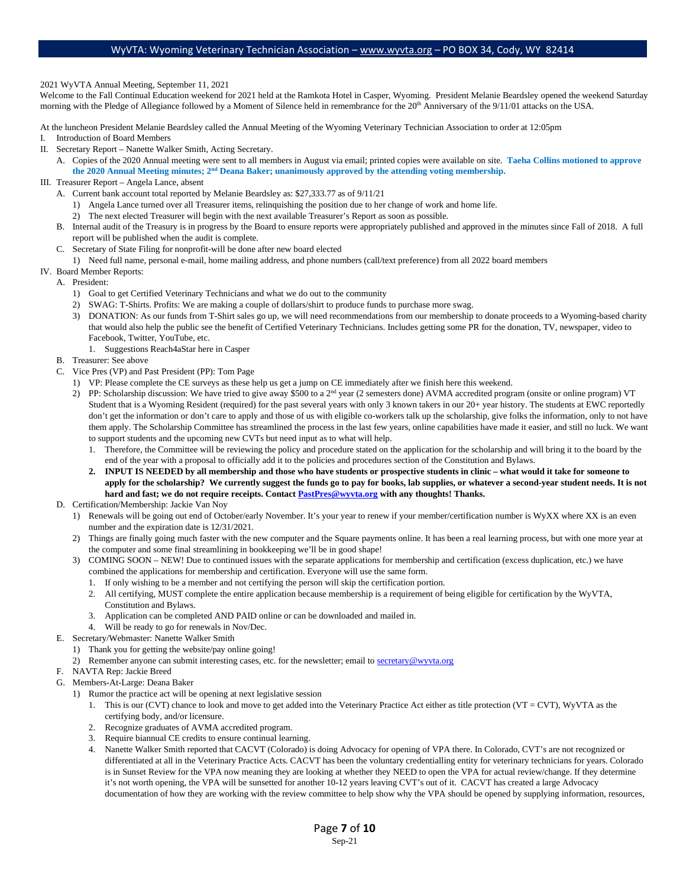2021 WyVTA Annual Meeting, September 11, 2021

Welcome to the Fall Continual Education weekend for 2021 held at the Ramkota Hotel in Casper, Wyoming. President Melanie Beardsley opened the weekend Saturday morning with the Pledge of Allegiance followed by a Moment of Silence held in remembrance for the 20<sup>th</sup> Anniversary of the 9/11/01 attacks on the USA.

At the luncheon President Melanie Beardsley called the Annual Meeting of the Wyoming Veterinary Technician Association to order at 12:05pm

- I. Introduction of Board Members
- II. Secretary Report Nanette Walker Smith, Acting Secretary.
	- A. Copies of the 2020 Annual meeting were sent to all members in August via email; printed copies were available on site. **Taeha Collins motioned to approve**  the 2020 Annual Meeting minutes; 2<sup>nd</sup> Deana Baker; unanimously approved by the attending voting membership.
- III. Treasurer Report Angela Lance, absent
	- A. Current bank account total reported by Melanie Beardsley as: \$27,333.77 as of 9/11/21
		- 1) Angela Lance turned over all Treasurer items, relinquishing the position due to her change of work and home life.
		- 2) The next elected Treasurer will begin with the next available Treasurer's Report as soon as possible.
	- B. Internal audit of the Treasury is in progress by the Board to ensure reports were appropriately published and approved in the minutes since Fall of 2018. A full report will be published when the audit is complete.
	- C. Secretary of State Filing for nonprofit-will be done after new board elected
	- 1) Need full name, personal e-mail, home mailing address, and phone numbers (call/text preference) from all 2022 board members
- IV. Board Member Reports:
	- A. President:
		- 1) Goal to get Certified Veterinary Technicians and what we do out to the community
		- 2) SWAG: T-Shirts. Profits: We are making a couple of dollars/shirt to produce funds to purchase more swag.
		- 3) DONATION: As our funds from T-Shirt sales go up, we will need recommendations from our membership to donate proceeds to a Wyoming-based charity that would also help the public see the benefit of Certified Veterinary Technicians. Includes getting some PR for the donation, TV, newspaper, video to Facebook, Twitter, YouTube, etc.
			- 1. Suggestions Reach4aStar here in Casper
	- B. Treasurer: See above
	- C. Vice Pres (VP) and Past President (PP): Tom Page
		- 1) VP: Please complete the CE surveys as these help us get a jump on CE immediately after we finish here this weekend.
		- 2) PP: Scholarship discussion: We have tried to give away \$500 to a 2<sup>nd</sup> year (2 semesters done) AVMA accredited program (onsite or online program) VT Student that is a Wyoming Resident (required) for the past several years with only 3 known takers in our 20+ year history. The students at EWC reportedly don't get the information or don't care to apply and those of us with eligible co-workers talk up the scholarship, give folks the information, only to not have them apply. The Scholarship Committee has streamlined the process in the last few years, online capabilities have made it easier, and still no luck. We want to support students and the upcoming new CVTs but need input as to what will help.
			- 1. Therefore, the Committee will be reviewing the policy and procedure stated on the application for the scholarship and will bring it to the board by the end of the year with a proposal to officially add it to the policies and procedures section of the Constitution and Bylaws.
			- **2. INPUT IS NEEDED by all membership and those who have students or prospective students in clinic what would it take for someone to apply for the scholarship? We currently suggest the funds go to pay for books, lab supplies, or whatever a second-year student needs. It is not hard and fast; we do not require receipts. Contact [PastPres@wyvta.org](mailto:PastPres@wyvta.org) with any thoughts! Thanks.**
	- D. Certification/Membership: Jackie Van Noy
		- 1) Renewals will be going out end of October/early November. It's your year to renew if your member/certification number is WyXX where XX is an even number and the expiration date is 12/31/2021.
		- 2) Things are finally going much faster with the new computer and the Square payments online. It has been a real learning process, but with one more year at the computer and some final streamlining in bookkeeping we'll be in good shape!
		- 3) COMING SOON NEW! Due to continued issues with the separate applications for membership and certification (excess duplication, etc.) we have combined the applications for membership and certification. Everyone will use the same form.
			- 1. If only wishing to be a member and not certifying the person will skip the certification portion.
			- 2. All certifying, MUST complete the entire application because membership is a requirement of being eligible for certification by the WyVTA, Constitution and Bylaws.
			- 3. Application can be completed AND PAID online or can be downloaded and mailed in.
		- 4. Will be ready to go for renewals in Nov/Dec.
	- E. Secretary/Webmaster: Nanette Walker Smith
		- 1) Thank you for getting the website/pay online going!
		- 2) Remember anyone can submit interesting cases, etc. for the newsletter; email to secretary@wyvta.org
	- F. NAVTA Rep: Jackie Breed
	- G. Members-At-Large: Deana Baker
		- 1) Rumor the practice act will be opening at next legislative session
			- 1. This is our (CVT) chance to look and move to get added into the Veterinary Practice Act either as title protection (VT = CVT), WyVTA as the certifying body, and/or licensure.
			- 2. Recognize graduates of AVMA accredited program.
			- 3. Require biannual CE credits to ensure continual learning.
			- 4. Nanette Walker Smith reported that CACVT (Colorado) is doing Advocacy for opening of VPA there. In Colorado, CVT's are not recognized or differentiated at all in the Veterinary Practice Acts. CACVT has been the voluntary credentialling entity for veterinary technicians for years. Colorado is in Sunset Review for the VPA now meaning they are looking at whether they NEED to open the VPA for actual review/change. If they determine it's not worth opening, the VPA will be sunsetted for another 10-12 years leaving CVT's out of it. CACVT has created a large Advocacy documentation of how they are working with the review committee to help show why the VPA should be opened by supplying information, resources,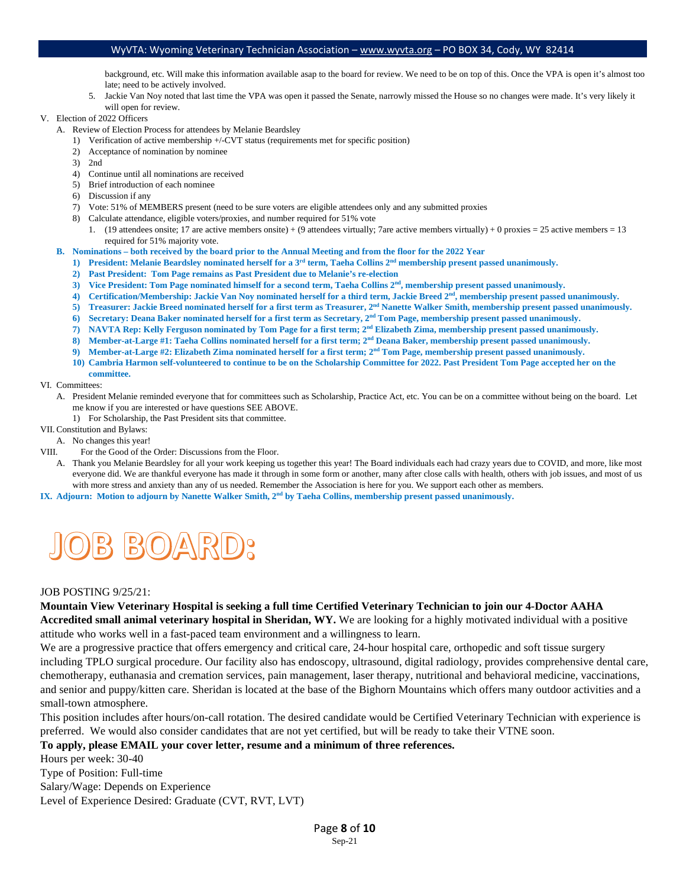background, etc. Will make this information available asap to the board for review. We need to be on top of this. Once the VPA is open it's almost too late; need to be actively involved.

- 5. Jackie Van Noy noted that last time the VPA was open it passed the Senate, narrowly missed the House so no changes were made. It's very likely it will open for review.
- V. Election of 2022 Officers
	- A. Review of Election Process for attendees by Melanie Beardsley
		- 1) Verification of active membership +/-CVT status (requirements met for specific position)
		- 2) Acceptance of nomination by nominee
		- 3) 2nd
		- 4) Continue until all nominations are received
		- 5) Brief introduction of each nominee
		- 6) Discussion if any
		- 7) Vote: 51% of MEMBERS present (need to be sure voters are eligible attendees only and any submitted proxies
		- 8) Calculate attendance, eligible voters/proxies, and number required for 51% vote
			- 1. (19 attendees onsite; 17 are active members onsite) + (9 attendees virtually; 7are active members virtually) + 0 proxies = 25 active members = 13 required for 51% majority vote.
	- **B. Nominations both received by the board prior to the Annual Meeting and from the floor for the 2022 Year**
		- **1) President: Melanie Beardsley nominated herself for a 3rd term, Taeha Collins 2nd membership present passed unanimously.**
		- **2) Past President: Tom Page remains as Past President due to Melanie's re-election**
		- 3) Vice President: Tom Page nominated himself for a second term, Taeha Collins 2<sup>nd</sup>, membership present passed unanimously.
		- **4) Certification/Membership: Jackie Van Noy nominated herself for a third term, Jackie Breed 2nd, membership present passed unanimously.**
		- **5) Treasurer: Jackie Breed nominated herself for a first term as Treasurer, 2nd Nanette Walker Smith, membership present passed unanimously.**
		- **6) Secretary: Deana Baker nominated herself for a first term as Secretary, 2nd Tom Page, membership present passed unanimously.**
		- **7) NAVTA Rep: Kelly Ferguson nominated by Tom Page for a first term; 2nd Elizabeth Zima, membership present passed unanimously.**
		- **8) Member-at-Large #1: Taeha Collins nominated herself for a first term; 2nd Deana Baker, membership present passed unanimously.**
		- **9) Member-at-Large #2: Elizabeth Zima nominated herself for a first term; 2nd Tom Page, membership present passed unanimously.**
		- **10) Cambria Harmon self-volunteered to continue to be on the Scholarship Committee for 2022. Past President Tom Page accepted her on the committee.**
- VI. Committees:
	- A. President Melanie reminded everyone that for committees such as Scholarship, Practice Act, etc. You can be on a committee without being on the board. Let me know if you are interested or have questions SEE ABOVE.
		- 1) For Scholarship, the Past President sits that committee.
- VII. Constitution and Bylaws:
- A. No changes this year!
- VIII. For the Good of the Order: Discussions from the Floor.
- A. Thank you Melanie Beardsley for all your work keeping us together this year! The Board individuals each had crazy years due to COVID, and more, like most everyone did. We are thankful everyone has made it through in some form or another, many after close calls with health, others with job issues, and most of us with more stress and anxiety than any of us needed. Remember the Association is here for you. We support each other as members.
- **IX. Adjourn: Motion to adjourn by Nanette Walker Smith, 2nd by Taeha Collins, membership present passed unanimously.**



# JOB POSTING 9/25/21:

**Mountain View Veterinary Hospital is seeking a full time Certified Veterinary Technician to join our 4-Doctor AAHA Accredited small animal veterinary hospital in Sheridan, WY.** We are looking for a highly motivated individual with a positive attitude who works well in a fast-paced team environment and a willingness to learn.

We are a progressive practice that offers emergency and critical care, 24-hour hospital care, orthopedic and soft tissue surgery including TPLO surgical procedure. Our facility also has endoscopy, ultrasound, digital radiology, provides comprehensive dental care, chemotherapy, euthanasia and cremation services, pain management, laser therapy, nutritional and behavioral medicine, vaccinations, and senior and puppy/kitten care. Sheridan is located at the base of the Bighorn Mountains which offers many outdoor activities and a small-town atmosphere.

This position includes after hours/on-call rotation. The desired candidate would be Certified Veterinary Technician with experience is preferred. We would also consider candidates that are not yet certified, but will be ready to take their VTNE soon.

#### **To apply, please EMAIL your cover letter, resume and a minimum of three references.**

Hours per week: 30-40 Type of Position: Full-time Salary/Wage: Depends on Experience Level of Experience Desired: Graduate (CVT, RVT, LVT)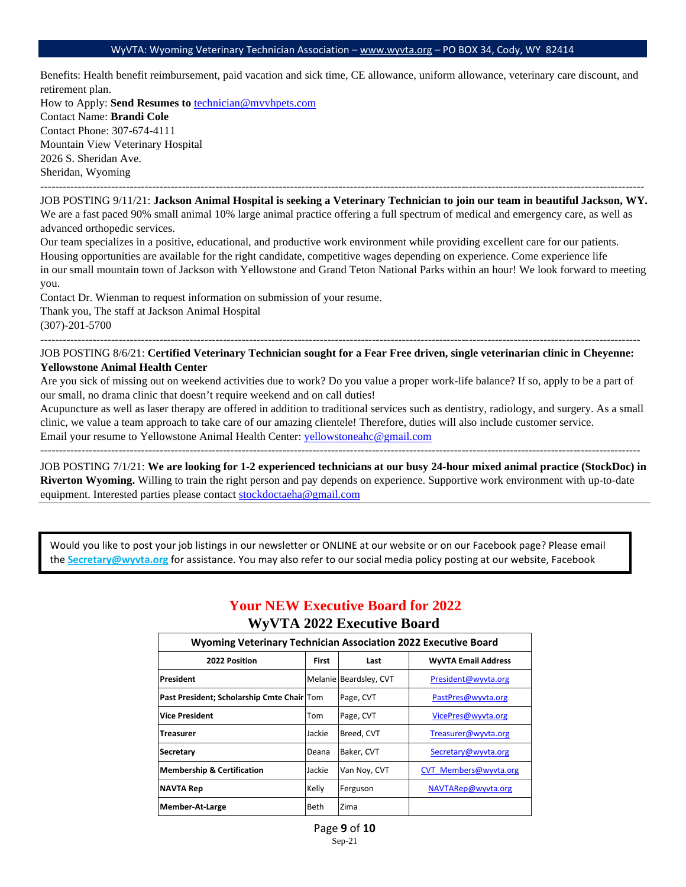Benefits: Health benefit reimbursement, paid vacation and sick time, CE allowance, uniform allowance, veterinary care discount, and retirement plan.

How to Apply: **Send Resumes to** [technician@mvvhpets.com](mailto:technician@mvvhpets.com)  Contact Name: **Brandi Cole** Contact Phone: 307-674-4111 Mountain View Veterinary Hospital 2026 S. Sheridan Ave. Sheridan, Wyoming

------------------------------------------------------------------------------------------------------------------------------------------------------------------ JOB POSTING 9/11/21: **Jackson Animal Hospital is seeking a Veterinary Technician to join our team in beautiful Jackson, WY.** We are a fast paced 90% small animal 10% large animal practice offering a full spectrum of medical and emergency care, as well as advanced orthopedic services.

Our team specializes in a positive, educational, and productive work environment while providing excellent care for our patients. Housing opportunities are available for the right candidate, competitive wages depending on experience. Come experience life in our small mountain town of Jackson with Yellowstone and Grand Teton National Parks within an hour! We look forward to meeting you.

Contact Dr. Wienman to request information on submission of your resume. Thank you, The staff at Jackson Animal Hospital (307)-201-5700

-----------------------------------------------------------------------------------------------------------------------------------------------------------------

----------------------------------------------------------------------------------------------------------------------------------------------------------------- JOB POSTING 8/6/21: **Certified Veterinary Technician sought for a Fear Free driven, single veterinarian clinic in Cheyenne: Yellowstone Animal Health Center**

Are you sick of missing out on weekend activities due to work? Do you value a proper work-life balance? If so, apply to be a part of our small, no drama clinic that doesn't require weekend and on call duties!

Acupuncture as well as laser therapy are offered in addition to traditional services such as dentistry, radiology, and surgery. As a small clinic, we value a team approach to take care of our amazing clientele! Therefore, duties will also include customer service. Email your resume to Yellowstone Animal Health Center[: yellowstoneahc@gmail.com](mailto:yellowstoneahc@gmail.com) 

JOB POSTING 7/1/21: **We are looking for 1-2 experienced technicians at our busy 24-hour mixed animal practice (StockDoc) in Riverton Wyoming.** Willing to train the right person and pay depends on experience. Supportive work environment with up-to-date equipment. Interested parties please contact [stockdoctaeha@gmail.com](mailto:stockdoctaeha@gmail.com)

Would you like to post your job listings in our newsletter or ONLINE at our website or on our Facebook page? Please email the **Secretary@wyvta.org** for assistance. You may also refer to our social media policy posting at our website, Facebook

# **Your NEW Executive Board for 2022**

# **WyVTA 2022 Executive Board**

| <b>Wyoming Veterinary Technician Association 2022 Executive Board</b> |              |                        |                            |  |  |
|-----------------------------------------------------------------------|--------------|------------------------|----------------------------|--|--|
| 2022 Position                                                         | <b>First</b> | Last                   | <b>WyVTA Email Address</b> |  |  |
| President                                                             |              | Melanie Beardsley, CVT | President@wyvta.org        |  |  |
| Past President; Scholarship Cmte Chair Tom                            |              | Page, CVT              | PastPres@wyvta.org         |  |  |
| <b>Vice President</b>                                                 | Tom          | Page, CVT              | VicePres@wyvta.org         |  |  |
| <b>Treasurer</b>                                                      | Jackie       | Breed, CVT             | Treasurer@wyvta.org        |  |  |
| Secretary                                                             | Deana        | Baker, CVT             | Secretary@wyvta.org        |  |  |
| <b>Membership &amp; Certification</b>                                 | Jackie       | Van Nov, CVT           | CVT Members@wyvta.org      |  |  |
| <b>NAVTA Rep</b>                                                      | Kelly        | Ferguson               | NAVTARep@wyvta.org         |  |  |
| <b>Member-At-Large</b>                                                | Beth         | Zima                   |                            |  |  |